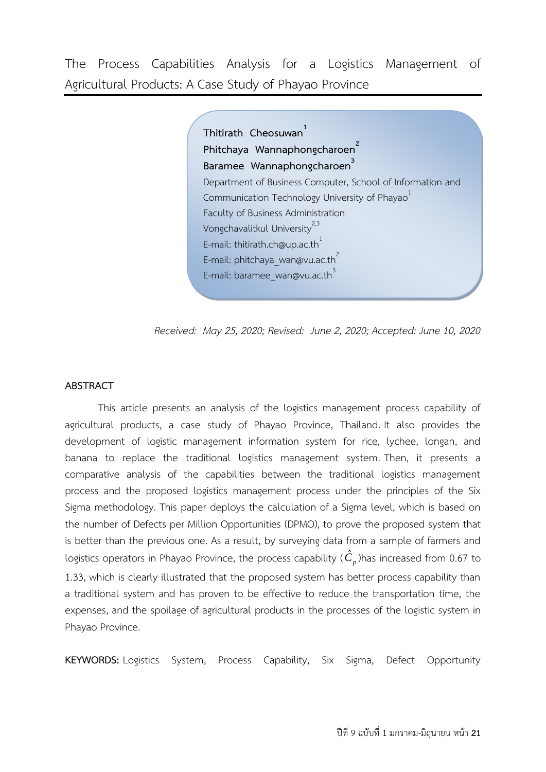The Process Capabilities Analysis for a Logistics Management of Agricultural Products: A Case Study of Phayao Province

> **Thitirath Cheosuwan Phitchaya Wannaphongcharoen<sup>2</sup> Baramee Wannaphongcharoen<sup>3</sup>** Department of Business Computer, School of Information and Communication Technology University of Phayao<sup>1</sup> Faculty of Business Administration Vongchavalitkul University<sup>2,3</sup> E-mail: thitirath.ch@up.ac.th<sup>1</sup> E-mail: phitchaya\_wan@vu.ac.th<sup>2</sup> E-mail: baramee\_wan@vu.ac.th<sup>3</sup>

*Received: May 25, 2020; Revised: June 2, 2020; Accepted: June 10, 2020*

# **ABSTRACT**

This article presents an analysis of the logistics management process capability of agricultural products, a case study of Phayao Province, Thailand. It also provides the development of logistic management information system for rice, lychee, longan, and banana to replace the traditional logistics management system. Then, it presents a comparative analysis of the capabilities between the traditional logistics management process and the proposed logistics management process under the principles of the Six Sigma methodology. This paper deploys the calculation of a Sigma level, which is based on the number of Defects per Million Opportunities (DPMO), to prove the proposed system that is better than the previous one. As a result, by surveying data from a sample of farmers and logistics operators in Phayao Province, the process capability (  $\hat{C}_p$  )has increased from 0.67 to 1.33, which is clearly illustrated that the proposed system has better process capability than a traditional system and has proven to be effective to reduce the transportation time, the expenses, and the spoilage of agricultural products in the processes of the logistic system in Phayao Province.

**KEYWORDS:** Logistics System, Process Capability, Six Sigma, Defect Opportunity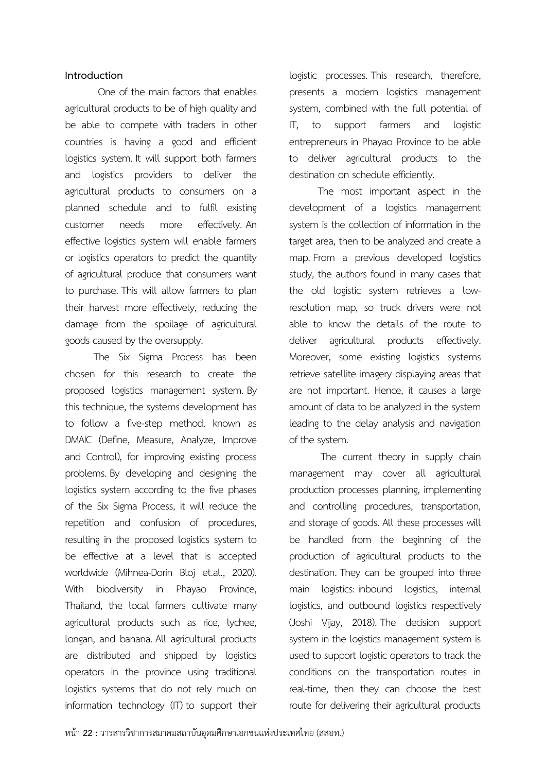## **Introduction**

One of the main factors that enables agricultural products to be of high quality and be able to compete with traders in other countries is having a good and efficient logistics system. It will support both farmers and logistics providers to deliver the agricultural products to consumers on a planned schedule and to fulfil existing customer needs more effectively. An effective logistics system will enable farmers or logistics operators to predict the quantity of agricultural produce that consumers want to purchase. This will allow farmers to plan their harvest more effectively, reducing the damage from the spoilage of agricultural goods caused by the oversupply.

 The Six Sigma Process has been chosen for this research to create the proposed logistics management system. By this technique, the systems development has to follow a five-step method, known as DMAIC (Define, Measure, Analyze, Improve and Control), for improving existing process problems. By developing and designing the logistics system according to the five phases of the Six Sigma Process, it will reduce the repetition and confusion of procedures, resulting in the proposed logistics system to be effective at a level that is accepted worldwide (Mihnea-Dorin Bloj et.al., 2020). With biodiversity in Phayao Province, Thailand, the local farmers cultivate many agricultural products such as rice, lychee, longan, and banana. All agricultural products are distributed and shipped by logistics operators in the province using traditional logistics systems that do not rely much on information technology (IT) to support their logistic processes. This research, therefore, presents a modern logistics management system, combined with the full potential of IT, to support farmers and logistic entrepreneurs in Phayao Province to be able to deliver agricultural products to the destination on schedule efficiently.

 The most important aspect in the development of a logistics management system is the collection of information in the target area, then to be analyzed and create a map. From a previous developed logistics study, the authors found in many cases that the old logistic system retrieves a lowresolution map, so truck drivers were not able to know the details of the route to deliver agricultural products effectively. Moreover, some existing logistics systems retrieve satellite imagery displaying areas that are not important. Hence, it causes a large amount of data to be analyzed in the system leading to the delay analysis and navigation of the system.

The current theory in supply chain management may cover all agricultural production processes planning, implementing and controlling procedures, transportation, and storage of goods. All these processes will be handled from the beginning of the production of agricultural products to the destination. They can be grouped into three main logistics: inbound logistics, internal logistics, and outbound logistics respectively (Joshi Vijay, 2018). The decision support system in the logistics management system is used to support logistic operators to track the conditions on the transportation routes in real-time, then they can choose the best route for delivering their agricultural products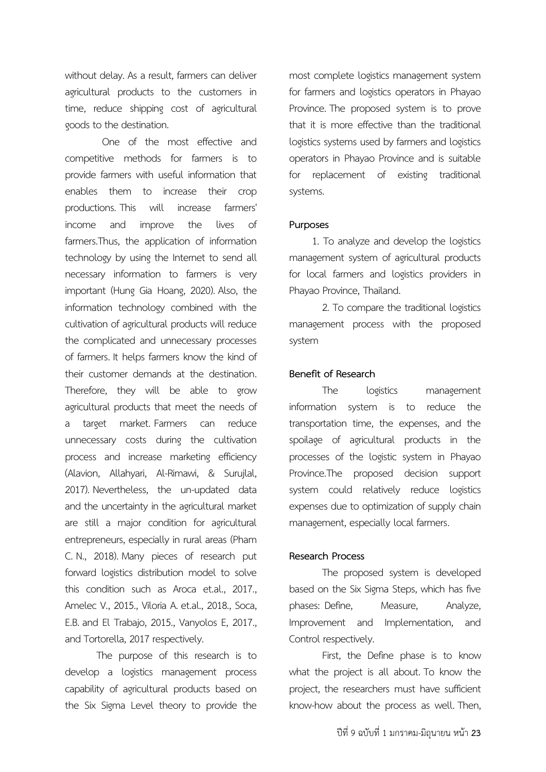without delay. As a result, farmers can deliver agricultural products to the customers in time, reduce shipping cost of agricultural goods to the destination.

 One of the most effective and competitive methods for farmers is to provide farmers with useful information that enables them to increase their crop productions. This will increase farmers' income and improve the lives of farmers.Thus, the application of information technology by using the Internet to send all necessary information to farmers is very important (Hung Gia Hoang, 2020). Also, the information technology combined with the cultivation of agricultural products will reduce the complicated and unnecessary processes of farmers. It helps farmers know the kind of their customer demands at the destination. Therefore, they will be able to grow agricultural products that meet the needs of a target market. Farmers can reduce unnecessary costs during the cultivation process and increase marketing efficiency (Alavion, Allahyari, Al-Rimawi, & Surujlal, 2017). Nevertheless, the un-updated data and the uncertainty in the agricultural market are still a major condition for agricultural entrepreneurs, especially in rural areas (Pham C. N., 2018). Many pieces of research put forward logistics distribution model to solve this condition such as Aroca et.al., 2017., Amelec V., 2015., Viloria A. et.al., 2018., Soca, E.B. and El Trabajo, 2015., Vanyolos E, 2017., and Tortorella, 2017 respectively.

 The purpose of this research is to develop a logistics management process capability of agricultural products based on the Six Sigma Level theory to provide the

most complete logistics management system for farmers and logistics operators in Phayao Province. The proposed system is to prove that it is more effective than the traditional logistics systems used by farmers and logistics operators in Phayao Province and is suitable for replacement of existing traditional systems.

## **Purposes**

 1. To analyze and develop the logistics management system of agricultural products for local farmers and logistics providers in Phayao Province, Thailand.

2. To compare the traditional logistics management process with the proposed system

## **Benefit of Research**

The logistics management information system is to reduce the transportation time, the expenses, and the spoilage of agricultural products in the processes of the logistic system in Phayao Province.The proposed decision support system could relatively reduce logistics expenses due to optimization of supply chain management, especially local farmers.

#### **Research Process**

The proposed system is developed based on the Six Sigma Steps, which has five phases: Define, Measure, Analyze, Improvement and Implementation, and Control respectively.

First, the Define phase is to know what the project is all about. To know the project, the researchers must have sufficient know-how about the process as well. Then,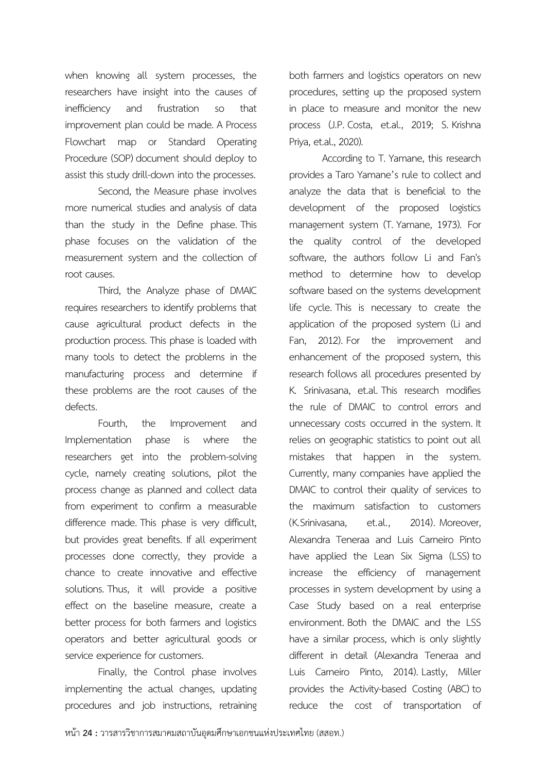when knowing all system processes, the researchers have insight into the causes of inefficiency and frustration so that improvement plan could be made. A Process Flowchart map or Standard Operating Procedure (SOP) document should deploy to assist this study drill-down into the processes.

Second, the Measure phase involves more numerical studies and analysis of data than the study in the Define phase. This phase focuses on the validation of the measurement system and the collection of root causes.

Third, the Analyze phase of DMAIC requires researchers to identify problems that cause agricultural product defects in the production process. This phase is loaded with many tools to detect the problems in the manufacturing process and determine if these problems are the root causes of the defects.

Fourth, the Improvement and Implementation phase is where the researchers get into the problem-solving cycle, namely creating solutions, pilot the process change as planned and collect data from experiment to confirm a measurable difference made. This phase is very difficult, but provides great benefits. If all experiment processes done correctly, they provide a chance to create innovative and effective solutions. Thus, it will provide a positive effect on the baseline measure, create a better process for both farmers and logistics operators and better agricultural goods or service experience for customers.

Finally, the Control phase involves implementing the actual changes, updating procedures and job instructions, retraining

both farmers and logistics operators on new procedures, setting up the proposed system in place to measure and monitor the new process (J.P. Costa, et.al., 2019; S. Krishna Priya, et.al., 2020).

According to T. Yamane, this research provides a Taro Yamane's rule to collect and analyze the data that is beneficial to the development of the proposed logistics management system (T. Yamane, 1973). For the quality control of the developed software, the authors follow Li and Fan's method to determine how to develop software based on the systems development life cycle. This is necessary to create the application of the proposed system (Li and Fan, 2012). For the improvement and enhancement of the proposed system, this research follows all procedures presented by K. Srinivasana, et.al. This research modifies the rule of DMAIC to control errors and unnecessary costs occurred in the system. It relies on geographic statistics to point out all mistakes that happen in the system. Currently, many companies have applied the DMAIC to control their quality of services to the maximum satisfaction to customers (K.Srinivasana, et.al., 2014). Moreover, Alexandra Teneraa and Luis Carneiro Pinto have applied the Lean Six Sigma (LSS) to increase the efficiency of management processes in system development by using a Case Study based on a real enterprise environment. Both the DMAIC and the LSS have a similar process, which is only slightly different in detail (Alexandra Teneraa and Luis Carneiro Pinto, 2014). Lastly, Miller provides the Activity-based Costing (ABC) to reduce the cost of transportation of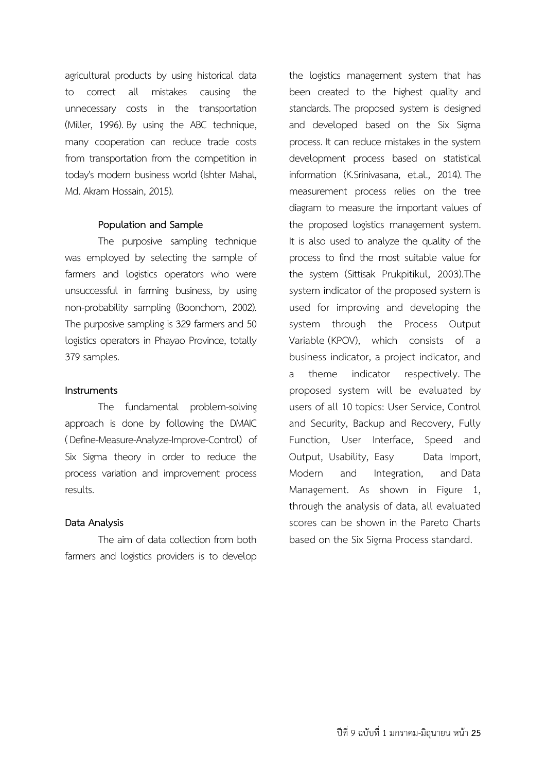agricultural products by using historical data to correct all mistakes causing the unnecessary costs in the transportation (Miller, 1996). By using the ABC technique, many cooperation can reduce trade costs from transportation from the competition in today's modern business world (Ishter Mahal, Md. Akram Hossain, 2015).

## **Population and Sample**

The purposive sampling technique was employed by selecting the sample of farmers and logistics operators who were unsuccessful in farming business, by using non-probability sampling (Boonchom, 2002). The purposive sampling is 329 farmers and 50 logistics operators in Phayao Province, totally 379 samples.

## **Instruments**

The fundamental problem-solving approach is done by following the DMAIC ( Define-Measure-Analyze-Improve-Control) of Six Sigma theory in order to reduce the process variation and improvement process results.

# **Data Analysis**

The aim of data collection from both farmers and logistics providers is to develop the logistics management system that has been created to the highest quality and standards. The proposed system is designed and developed based on the Six Sigma process. It can reduce mistakes in the system development process based on statistical information (K.Srinivasana, et.al., 2014). The measurement process relies on the tree diagram to measure the important values of the proposed logistics management system. It is also used to analyze the quality of the process to find the most suitable value for the system (Sittisak Prukpitikul, 2003).The system indicator of the proposed system is used for improving and developing the system through the Process Output Variable (KPOV), which consists of a business indicator, a project indicator, and a theme indicator respectively. The proposed system will be evaluated by users of all 10 topics: User Service, Control and Security, Backup and Recovery, Fully Function, User Interface, Speed and Output, Usability, Easy Data Import, Modern and Integration, and Data Management. As shown in Figure 1, through the analysis of data, all evaluated scores can be shown in the Pareto Charts based on the Six Sigma Process standard.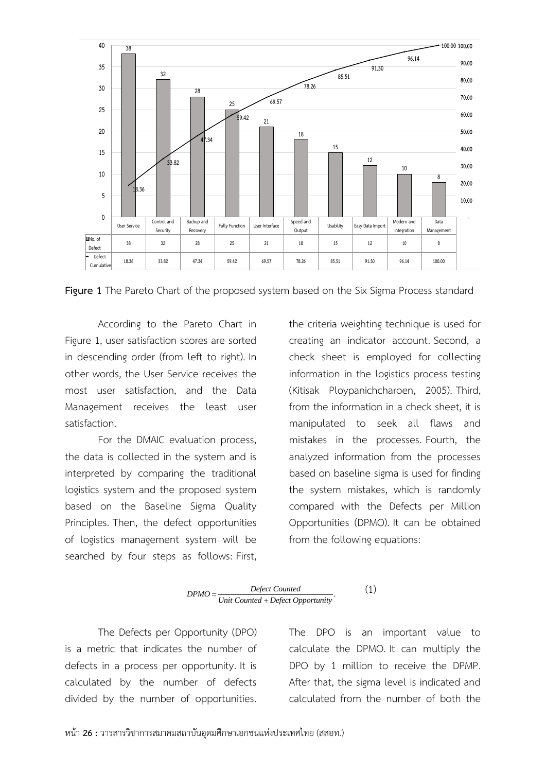

**Figure 1** The Pareto Chart of the proposed system based on the Six Sigma Process standard

According to the Pareto Chart in Figure 1, user satisfaction scores are sorted in descending order (from left to right). In other words, the User Service receives the most user satisfaction, and the Data Management receives the least user satisfaction.

For the DMAIC evaluation process, the data is collected in the system and is interpreted by comparing the traditional logistics system and the proposed system based on the Baseline Sigma Quality Principles. Then, the defect opportunities of logistics management system will be searched by four steps as follows: First,

the criteria weighting technique is used for creating an indicator account. Second, a check sheet is employed for collecting information in the logistics process testing (Kitisak Ploypanichcharoen, 2005). Third, from the information in a check sheet, it is manipulated to seek all flaws and mistakes in the processes. Fourth, the analyzed information from the processes based on baseline sigma is used for finding the system mistakes, which is randomly compared with the Defects per Million Opportunities (DPMO). It can be obtained from the following equations:

$$
DPMO = \frac{Defect\ Counted}{Unit\ Counted + Defect\ Opportunity}.
$$
 (1)

The Defects per Opportunity (DPO) is a metric that indicates the number of defects in a process per opportunity. It is calculated by the number of defects divided by the number of opportunities.

The DPO is an important value to calculate the DPMO. It can multiply the DPO by 1 million to receive the DPMP. After that, the sigma level is indicated and calculated from the number of both the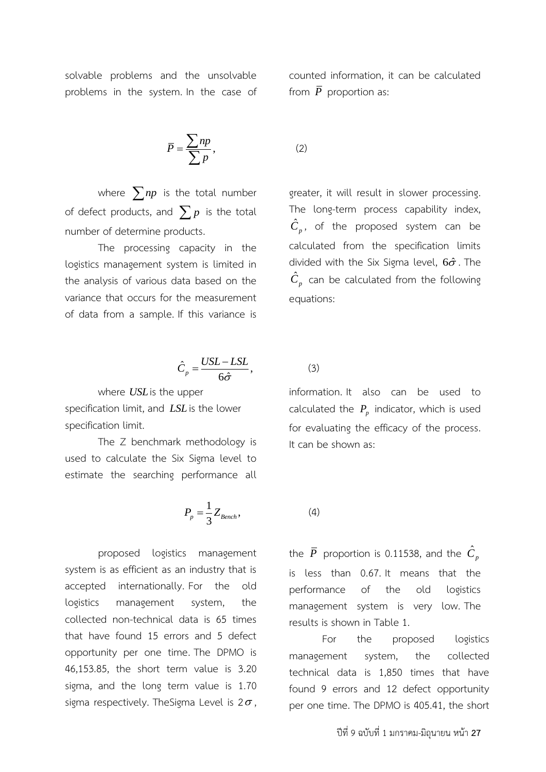solvable problems and the unsolvable problems in the system. In the case of

$$
\overline{P} = \frac{\sum np}{\sum p},
$$

where  $\sum np$  is the total number of defect products, and  $\sum p$  is the total number of determine products.

The processing capacity in the logistics management system is limited in the analysis of various data based on the variance that occurs for the measurement of data from a sample. If this variance is

$$
\hat{C}_p = \frac{USL - LSL}{6\hat{\sigma}},\tag{3}
$$

where *USL* is the upper specification limit, and *LSL* is the lower specification limit.

The Z benchmark methodology is used to calculate the Six Sigma level to estimate the searching performance all

$$
P_p = \frac{1}{3} Z_{Bench},\tag{4}
$$

proposed logistics management system is as efficient as an industry that is accepted internationally. For the old logistics management system, the collected non-technical data is 65 times that have found 15 errors and 5 defect opportunity per one time. The DPMO is 46,153.85, the short term value is 3.20 sigma, and the long term value is 1.70 sigma respectively. TheSigma Level is 2 $\sigma$ , counted information, it can be calculated from  $\bar{P}$  proportion as:

(2)

greater, it will result in slower processing. The long-term process capability index,  $\hat{C}_p$ , of the proposed system can be calculated from the specification limits divided with the Six Sigma level,  $6\hat{\sigma}$ . The  $\hat{C}_{_{p}}$  can be calculated from the following equations:

information. It also can be used to calculated the  $P_p$  indicator, which is used for evaluating the efficacy of the process. It can be shown as:

the  $\bar{P}$  proportion is 0.11538, and the  $\hat{C}_p$ is less than 0.67. It means that the performance of the old logistics management system is very low. The results is shown in Table 1.

For the proposed logistics management system, the collected technical data is 1,850 times that have found 9 errors and 12 defect opportunity per one time. The DPMO is 405.41, the short

ปีที่9 ฉบับที่ 1 มกราคม-มิถุนายน หน้า **27**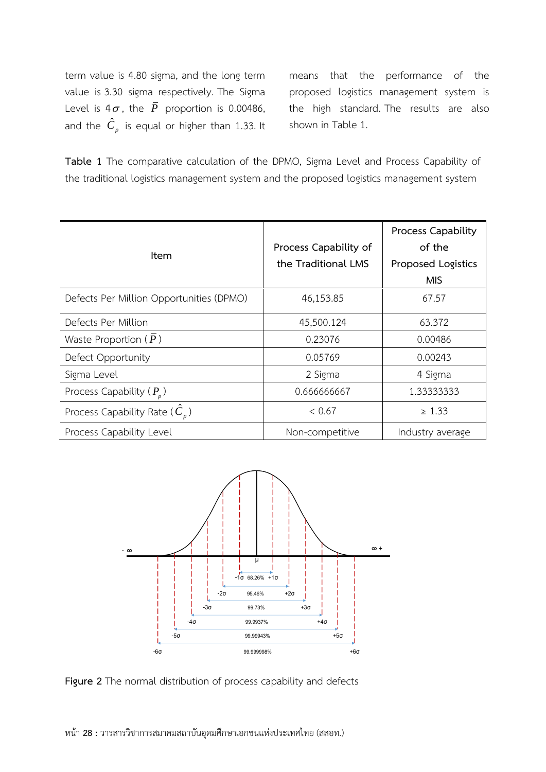term value is 4.80 sigma, and the long term value is 3.30 sigma respectively. The Sigma Level is 4 $\sigma$ , the  $\bar{P}$  proportion is 0.00486, and the  $\hat{C}_p$  is equal or higher than 1.33. It means that the performance of the proposed logistics management system is the high standard. The results are also shown in Table 1.

**Table 1** The comparative calculation of the DPMO, Sigma Level and Process Capability of the traditional logistics management system and the proposed logistics management system

| ltem                                     | Process Capability of<br>the Traditional LMS | <b>Process Capability</b><br>of the<br>Proposed Logistics<br><b>MIS</b> |
|------------------------------------------|----------------------------------------------|-------------------------------------------------------------------------|
| Defects Per Million Opportunities (DPMO) | 46,153.85                                    | 67.57                                                                   |
| Defects Per Million                      | 45,500.124                                   | 63.372                                                                  |
| Waste Proportion $(\overline{P})$        | 0.23076                                      | 0.00486                                                                 |
| Defect Opportunity                       | 0.05769                                      | 0.00243                                                                 |
| Sigma Level                              | 2 Sigma                                      | 4 Sigma                                                                 |
| Process Capability $(P_n)$               | 0.666666667                                  | 1.33333333                                                              |
| Process Capability Rate $(C_n)$          | < 0.67                                       | $\geq 1.33$                                                             |
| Process Capability Level                 | Non-competitive                              | Industry average                                                        |



**Figure 2** The normal distribution of process capability and defects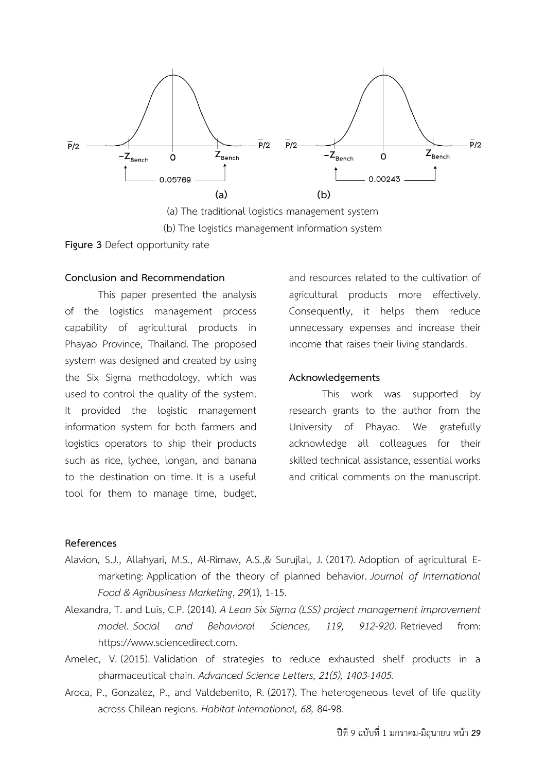

(b) The logistics management information system

**Figure 3** Defect opportunity rate

# **Conclusion and Recommendation**

This paper presented the analysis of the logistics management process capability of agricultural products in Phayao Province, Thailand. The proposed system was designed and created by using the Six Sigma methodology, which was used to control the quality of the system. It provided the logistic management information system for both farmers and logistics operators to ship their products such as rice, lychee, longan, and banana to the destination on time. It is a useful tool for them to manage time, budget,

and resources related to the cultivation of agricultural products more effectively. Consequently, it helps them reduce unnecessary expenses and increase their income that raises their living standards.

# **Acknowledgements**

This work was supported by research grants to the author from the University of Phayao. We gratefully acknowledge all colleagues for their skilled technical assistance, essential works and critical comments on the manuscript.

# **References**

- Alavion, S.J., Allahyari, M.S., Al-Rimaw, A.S.,& Surujlal, J. (2017). Adoption of agricultural Emarketing: Application of the theory of planned behavior. *Journal of International Food & Agribusiness Marketing*, *29*(1), 1-15.
- Alexandra, T. and Luis, C.P. (2014). *A Lean Six Sigma (LSS) project management improvement model. Social and Behavioral Sciences, 119, 912-920*. Retrieved from: https://www.sciencedirect.com.
- Amelec, V. (2015). Validation of strategies to reduce exhausted shelf products in a pharmaceutical chain. *Advanced Science Letters, 21(5), 1403-1405.*
- Aroca, P., Gonzalez, P., and Valdebenito, R. (2017). The heterogeneous level of life quality across Chilean regions. *Habitat International, 68,* 84-98*.*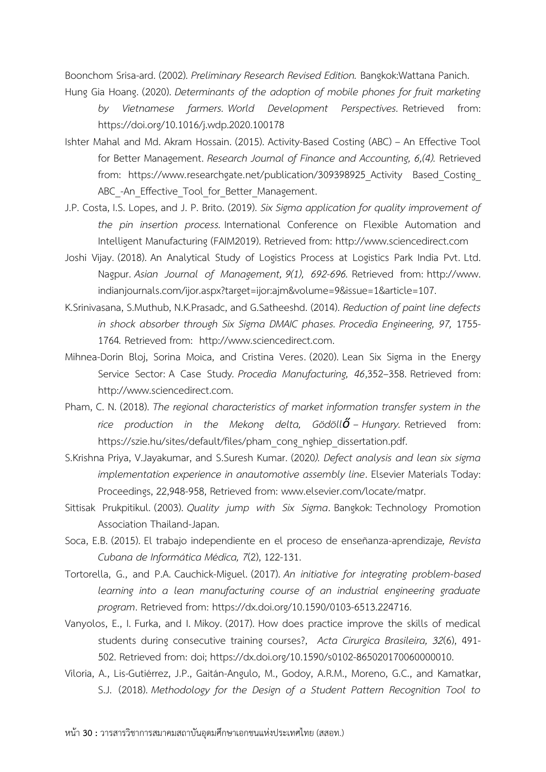Boonchom Srisa-ard. (2002). *Preliminary Research Revised Edition.* Bangkok:Wattana Panich.

Hung Gia Hoang. (2020). *Determinants of the adoption of mobile phones for fruit marketing by Vietnamese farmers. World Development Perspectives.* Retrieved from: https://doi.org/10.1016/j.wdp.2020.100178

- Ishter Mahal and Md. Akram Hossain. (2015). Activity-Based Costing (ABC) An Effective Tool for Better Management. *Research Journal of Finance and Accounting, 6,(4).* Retrieved from: https://www.researchgate.net/publication/309398925 Activity Based Costing ABC -An Effective Tool for Better Management.
- J.P. Costa, I.S. Lopes, and J. P. Brito. (2019). *Six Sigma application for quality improvement of the pin insertion process.* International Conference on Flexible Automation and Intelligent Manufacturing (FAIM2019). Retrieved from: http://www.sciencedirect.com
- Joshi Vijay. (2018). An Analytical Study of Logistics Process at Logistics Park India Pvt. Ltd. Nagpur. *Asian Journal of Management, 9(1), 692-696.* Retrieved from: http://www. indianjournals.com/ijor.aspx?target=ijor:ajm&volume=9&issue=1&article=107.
- K.Srinivasana, S.Muthub, N.K.Prasadc, and G.Satheeshd. (2014). *Reduction of paint line defects in shock absorber through Six Sigma DMAIC phases. Procedia Engineering, 97,* 1755- 1764*.* Retrieved from: http://www.sciencedirect.com.
- Mihnea-Dorin Bloj, Sorina Moica, and Cristina Veres. (2020). Lean Six Sigma in the Energy Service Sector: A Case Study*. Procedia Manufacturing, 46*,352–358. Retrieved from: http://www.sciencedirect.com.
- Pham, C. N. (2018). *The regional characteristics of market information transfer system in the rice production in the Mekong delta, Gödöllő – Hungary.* Retrieved from: https://szie.hu/sites/default/files/pham\_cong\_nghiep\_dissertation.pdf.
- S.Krishna Priya, V.Jayakumar, and S.Suresh Kumar. (2020*). Defect analysis and lean six sigma implementation experience in anautomotive assembly line*. Elsevier Materials Today: Proceedings, 22,948-958, Retrieved from: www.elsevier.com/locate/matpr.
- Sittisak Prukpitikul. (2003). *Quality jump with Six Sigma*. Bangkok: Technology Promotion Association Thailand-Japan.
- Soca, E.B. (2015). El trabajo independiente en el proceso de enseñanza-aprendizaje*, Revista Cubana de Informática Médica, 7*(2), 122-131.
- Tortorella, G., and P.A. Cauchick-Miguel. (2017). *An initiative for integrating problem-based learning into a lean manufacturing course of an industrial engineering graduate program*. Retrieved from: https://dx.doi.org/10.1590/0103-6513.224716.
- Vanyolos, E., I. Furka, and I. Mikoy. (2017). How does practice improve the skills of medical students during consecutive training courses?, *Acta Cirurgica Brasileira, 32*(6), 491- 502. Retrieved from: doi; https://dx.doi.org/10.1590/s0102-865020170060000010.
- Viloria, A., Lis-Gutiérrez, J.P., Gaitán-Angulo, M., Godoy, A.R.M., Moreno, G.C., and Kamatkar, S.J. (2018). *Methodology for the Design of a Student Pattern Recognition Tool to*